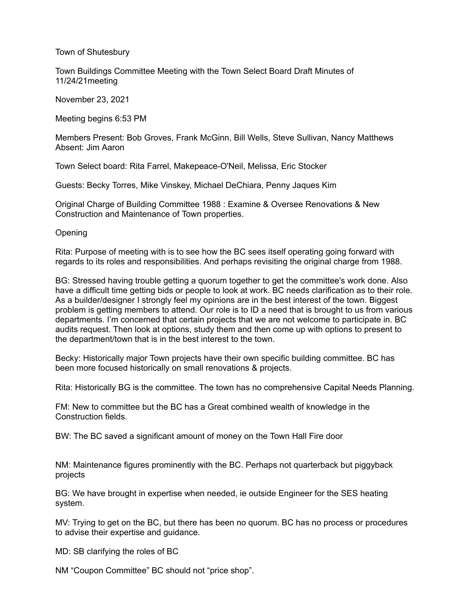## Town of Shutesbury

Town Buildings Committee Meeting with the Town Select Board Draft Minutes of 11/24/21meeting

November 23, 2021

Meeting begins 6:53 PM

Members Present: Bob Groves, Frank McGinn, Bill Wells, Steve Sullivan, Nancy Matthews Absent: Jim Aaron

Town Select board: Rita Farrel, Makepeace-O'Neil, Melissa, Eric Stocker

Guests: Becky Torres, Mike Vinskey, Michael DeChiara, Penny Jaques Kim

Original Charge of Building Committee 1988 : Examine & Oversee Renovations & New Construction and Maintenance of Town properties.

**Opening** 

Rita: Purpose of meeting with is to see how the BC sees itself operating going forward with regards to its roles and responsibilities. And perhaps revisiting the original charge from 1988.

BG: Stressed having trouble getting a quorum together to get the committee's work done. Also have a difficult time getting bids or people to look at work. BC needs clarification as to their role. As a builder/designer I strongly feel my opinions are in the best interest of the town. Biggest problem is getting members to attend. Our role is to ID a need that is brought to us from various departments. I'm concerned that certain projects that we are not welcome to participate in. BC audits request. Then look at options, study them and then come up with options to present to the department/town that is in the best interest to the town.

Becky: Historically major Town projects have their own specific building committee. BC has been more focused historically on small renovations & projects.

Rita: Historically BG is the committee. The town has no comprehensive Capital Needs Planning.

FM: New to committee but the BC has a Great combined wealth of knowledge in the Construction fields.

BW: The BC saved a significant amount of money on the Town Hall Fire door

NM: Maintenance figures prominently with the BC. Perhaps not quarterback but piggyback projects

BG: We have brought in expertise when needed, ie outside Engineer for the SES heating system.

MV: Trying to get on the BC, but there has been no quorum. BC has no process or procedures to advise their expertise and guidance.

MD: SB clarifying the roles of BC

NM "Coupon Committee" BC should not "price shop".